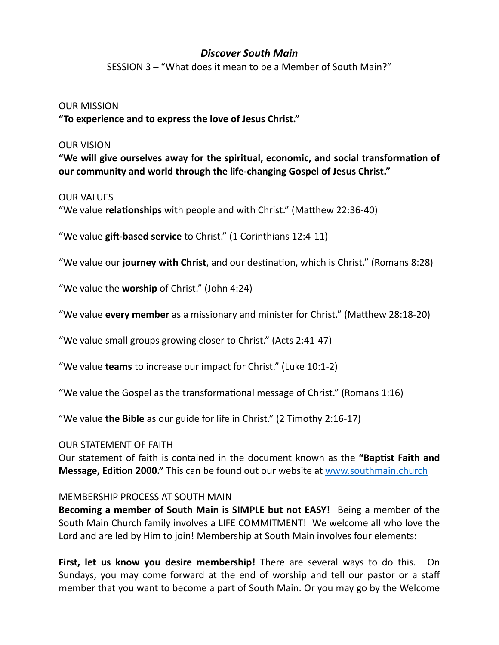# *Discover South Main*

SESSION 3 – "What does it mean to be a Member of South Main?"

### OUR MISSION

**"To experience and to express the love of Jesus Christ."**

#### OUR VISION

**"We will give ourselves away for the spiritual, economic, and social transformation of our community and world through the life-changing Gospel of Jesus Christ."**

#### OUR VALUES

"We value **relationships** with people and with Christ." (Matthew 22:36-40)

"We value **gift-based service** to Christ." (1 Corinthians 12:4-11)

"We value our **journey with Christ**, and our destination, which is Christ." (Romans 8:28)

"We value the **worship** of Christ." (John 4:24)

"We value **every member** as a missionary and minister for Christ." (Matthew 28:18-20)

"We value small groups growing closer to Christ." (Acts 2:41-47)

"We value **teams** to increase our impact for Christ." (Luke 10:1-2)

"We value the Gospel as the transformational message of Christ." (Romans 1:16)

"We value **the Bible** as our guide for life in Christ." (2 Timothy 2:16-17)

## OUR STATEMENT OF FAITH

Our statement of faith is contained in the document known as the **"Baptist Faith and Message, Edition 2000."** This can be found out our website at [www.southmain.church](http://www.southmain.church)

## MEMBERSHIP PROCESS AT SOUTH MAIN

**Becoming a member of South Main is SIMPLE but not EASY!** Being a member of the South Main Church family involves a LIFE COMMITMENT! We welcome all who love the Lord and are led by Him to join! Membership at South Main involves four elements:

**First, let us know you desire membership!** There are several ways to do this. On Sundays, you may come forward at the end of worship and tell our pastor or a staff member that you want to become a part of South Main. Or you may go by the Welcome